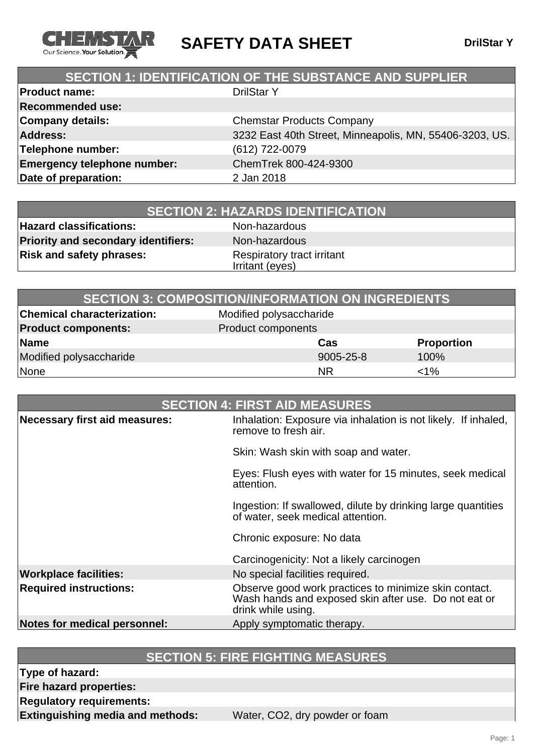

**SAFETY DATA SHEET** DrilStar Y

# **SECTION 1: IDENTIFICATION OF THE SUBSTANCE AND SUPPLIER**

| <b>Product name:</b>               | <b>DrilStar Y</b>                                       |
|------------------------------------|---------------------------------------------------------|
| <b>Recommended use:</b>            |                                                         |
| <b>Company details:</b>            | <b>Chemstar Products Company</b>                        |
| <b>Address:</b>                    | 3232 East 40th Street, Minneapolis, MN, 55406-3203, US. |
| Telephone number:                  | (612) 722-0079                                          |
| <b>Emergency telephone number:</b> | ChemTrek 800-424-9300                                   |
| Date of preparation:               | 2 Jan 2018                                              |
|                                    |                                                         |

| <b>SECTION 2: HAZARDS IDENTIFICATION</b> |
|------------------------------------------|
|------------------------------------------|

**Hazard classifications:** Non-hazardous **Priority and secondary identifiers:** Non-hazardous **Risk and safety phrases:** Respiratory tract irritant

Irritant (eyes)

|                                   | <b>SECTION 3: COMPOSITION/INFORMATION ON INGREDIENTS</b> |                   |
|-----------------------------------|----------------------------------------------------------|-------------------|
| <b>Chemical characterization:</b> | Modified polysaccharide                                  |                   |
| <b>Product components:</b>        | Product components                                       |                   |
| Name                              | Cas                                                      | <b>Proportion</b> |
| Modified polysaccharide           | 9005-25-8                                                | 100%              |
| None                              | <b>NR</b>                                                | $<$ 1%            |

|                                      | <b>SECTION 4: FIRST AID MEASURES</b>                                                                                                |
|--------------------------------------|-------------------------------------------------------------------------------------------------------------------------------------|
| <b>Necessary first aid measures:</b> | Inhalation: Exposure via inhalation is not likely. If inhaled,<br>remove to fresh air.                                              |
|                                      | Skin: Wash skin with soap and water.                                                                                                |
|                                      | Eyes: Flush eyes with water for 15 minutes, seek medical<br>attention.                                                              |
|                                      | Ingestion: If swallowed, dilute by drinking large quantities<br>of water, seek medical attention.                                   |
|                                      | Chronic exposure: No data                                                                                                           |
|                                      | Carcinogenicity: Not a likely carcinogen                                                                                            |
| <b>Workplace facilities:</b>         | No special facilities required.                                                                                                     |
| <b>Required instructions:</b>        | Observe good work practices to minimize skin contact.<br>Wash hands and exposed skin after use. Do not eat or<br>drink while using. |
| Notes for medical personnel:         | Apply symptomatic therapy.                                                                                                          |

# **SECTION 5: FIRE FIGHTING MEASURES**

**Type of hazard:**

**Fire hazard properties:**

**Regulatory requirements:**

**Extinguishing media and methods:** Water, CO2, dry powder or foam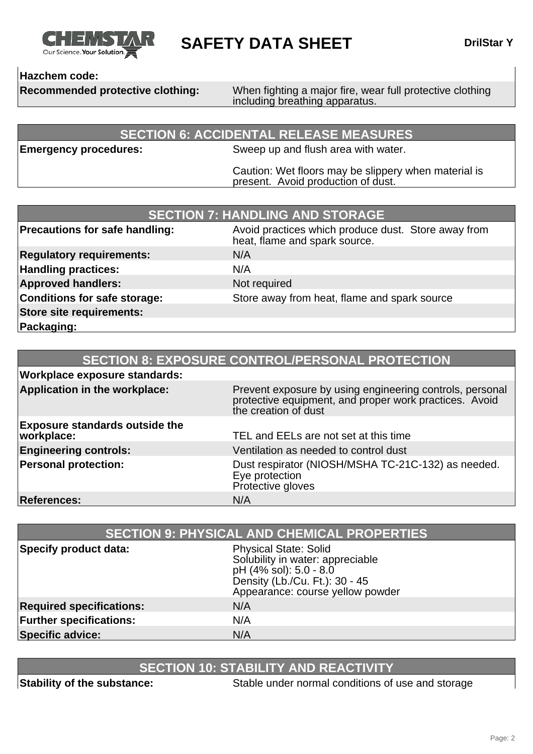

**SAFETY DATA SHEET** DrilStar Y

**Hazchem code:**

**Recommended protective clothing:** When fighting a major fire, wear full protective clothing including breathing apparatus.

#### **SECTION 6: ACCIDENTAL RELEASE MEASURES**

**Emergency procedures:** Sweep up and flush area with water.

Caution: Wet floors may be slippery when material is present. Avoid production of dust.

| <b>SECTION 7: HANDLING AND STORAGE</b> |                                                                                      |
|----------------------------------------|--------------------------------------------------------------------------------------|
| <b>Precautions for safe handling:</b>  | Avoid practices which produce dust. Store away from<br>heat, flame and spark source. |
| <b>Regulatory requirements:</b>        | N/A                                                                                  |
| <b>Handling practices:</b>             | N/A                                                                                  |
| <b>Approved handlers:</b>              | Not required                                                                         |
| Conditions for safe storage:           | Store away from heat, flame and spark source                                         |
| <b>Store site requirements:</b>        |                                                                                      |
| Packaging:                             |                                                                                      |

| <b>SECTION 8: EXPOSURE CONTROL/PERSONAL PROTECTION</b> |                                                                                                                                            |
|--------------------------------------------------------|--------------------------------------------------------------------------------------------------------------------------------------------|
| <b>Workplace exposure standards:</b>                   |                                                                                                                                            |
| Application in the workplace:                          | Prevent exposure by using engineering controls, personal<br>protective equipment, and proper work practices. Avoid<br>the creation of dust |
| <b>Exposure standards outside the</b><br>workplace:    | TEL and EELs are not set at this time                                                                                                      |
| <b>Engineering controls:</b>                           | Ventilation as needed to control dust                                                                                                      |
| <b>Personal protection:</b>                            | Dust respirator (NIOSH/MSHA TC-21C-132) as needed.<br>Eye protection<br>Protective gloves                                                  |
| <b>References:</b>                                     | N/A                                                                                                                                        |

| <b>SECTION 9: PHYSICAL AND CHEMICAL PROPERTIES</b> |                                                                                                                                                                  |
|----------------------------------------------------|------------------------------------------------------------------------------------------------------------------------------------------------------------------|
| Specify product data:                              | <b>Physical State: Solid</b><br>Solubility in water: appreciable<br>pH (4% sol): 5.0 - 8.0<br>Density (Lb./Cu. Ft.): 30 - 45<br>Appearance: course yellow powder |
| <b>Required specifications:</b>                    | N/A                                                                                                                                                              |
| <b>Further specifications:</b>                     | N/A                                                                                                                                                              |
| <b>Specific advice:</b>                            | N/A                                                                                                                                                              |

**SECTION 10: STABILITY AND REACTIVITY**

**Stability of the substance:** Stable under normal conditions of use and storage